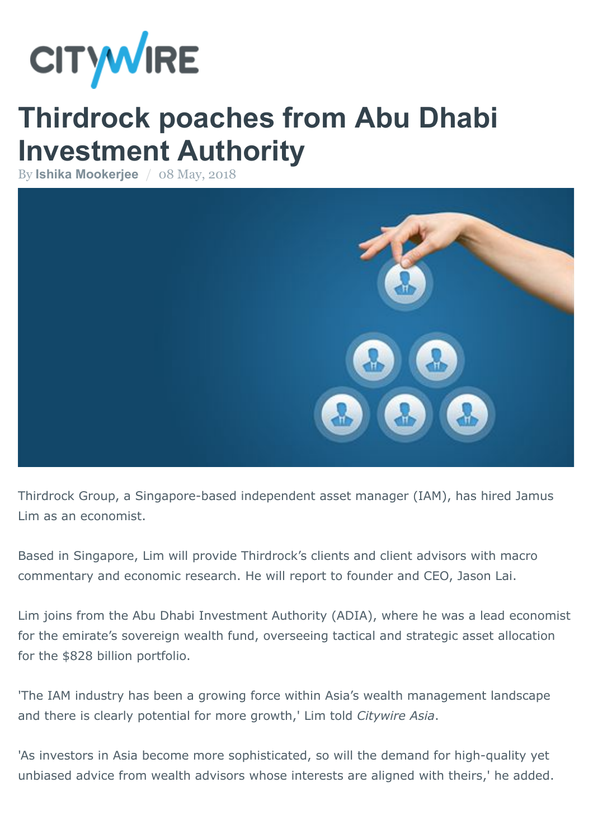

## **Thirdrock poaches from Abu Dhabi Investment Authority**

By **[Ishika Mookerjee](http://citywireasia.com/author/imookerjee)** / 08 May, 2018



Thirdrock Group, a Singapore-based independent asset manager (IAM), has hired Jamus Lim as an economist.

Based in Singapore, Lim will provide Thirdrock's clients and client advisors with macro commentary and economic research. He will report to founder and CEO, Jason Lai.

Lim joins from the Abu Dhabi Investment Authority (ADIA), where he was a lead economist for the emirate's sovereign wealth fund, overseeing tactical and strategic asset allocation for the \$828 billion portfolio.

'The IAM industry has been a growing force within Asia's wealth management landscape and there is clearly potential for more growth,' Lim told *Citywire Asia*.

'As investors in Asia become more sophisticated, so will the demand for high-quality yet unbiased advice from wealth advisors whose interests are aligned with theirs,' he added.